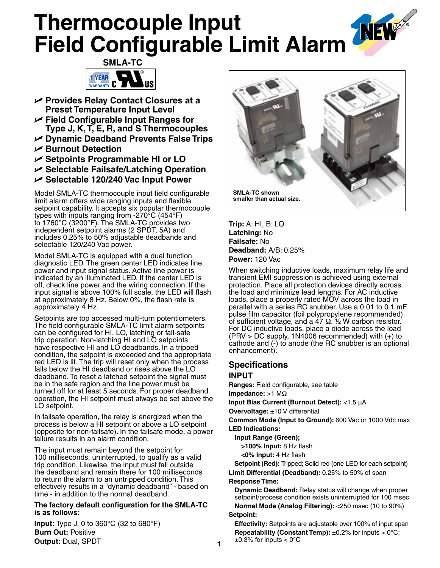# **Thermocouple Input Field Configurable Limit Alarm**



- U **Provides Relay Contact Closures at a Preset Temperature Input Level**
- U **Field Configurable Input Ranges for Type J, K, T, E, R, and S Thermocouples**
- U **Dynamic Deadband Prevents False Trips**
- U **Burnout Detection**
- U **Setpoints Programmable HI or LO**
- U **Selectable Failsafe/Latching Operation**
- U **Selectable 120/240 Vac Input Power**

Model SMLA-TC thermocouple input field configurable limit alarm offers wide ranging inputs and flexible setpoint capability. It accepts six popular thermocouple types with inputs ranging from -270°C (454°F) to 1760°C (3200°F). The SMLA-TC provides two independent setpoint alarms (2 SPDT, 5A) and includes 0.25% to 50% adjustable deadbands and selectable 120/240 Vac power.

Model SMLA-TC is equipped with a dual function diagnostic LED. The green center LED indicates line power and input signal status. Active line power is indicated by an illuminated LED. If the center LED is off, check line power and the wiring connection. If the input signal is above 100% full scale, the LED will flash at approximately 8 Hz. Below 0%, the flash rate is approximately 4 Hz.

Setpoints are top accessed multi-turn potentiometers. The field configurable SMLA-TC limit alarm setpoints can be configured for HI, LO, latching or fail-safe trip operation. Non-latching HI and LO setpoints have respective HI and LO deadbands. In a tripped condition, the setpoint is exceeded and the appropriate red LED is lit. The trip will reset only when the process falls below the HI deadband or rises above the LO deadband. To reset a latched setpoint the signal must be in the safe region and the line power must be turned off for at least 5 seconds. For proper deadband operation, the HI setpoint must always be set above the LO setpoint.

In failsafe operation, the relay is energized when the process is below a HI setpoint or above a LO setpoint (opposite for non-failsafe). In the failsafe mode, a power failure results in an alarm condition.

The input must remain beyond the setpoint for 100 milliseconds, uninterrupted, to qualify as a valid trip condition. Likewise, the input must fall outside the deadband and remain there for 100 milliseconds to return the alarm to an untripped condition. This effectively results in a "dynamic deadband" - based on time - in addition to the normal deadband.

#### **The factory default configuration for the SMLA-TC is as follows:**

**Input:** Type J, 0 to 360°C (32 to 680°F) **Burn Out:** Positive **Output:** Dual, SPDT



**Trip:** A: HI, B: LO **Latching:** No **Failsafe:** No **Deadband:** A/B: 0.25% **Power:** 120 Vac

When switching inductive loads, maximum relay life and transient EMI suppression is achieved using external protection. Place all protection devices directly across the load and minimize lead lengths. For AC inductive loads, place a properly rated MOV across the load in parallel with a series RC snubber. Use a 0.01 to 0.1 mF pulse film capacitor (foil polypropylene recommended) of sufficient voltage, and a 47  $\Omega$ , 1/2 W carbon resistor. For DC inductive loads, place a diode across the load (PRV > DC supply, 1N4006 recommended) with (+) to cathode and (-) to anode (the RC snubber is an optional enhancement).

# **Specifications**

## **INPUT**

**Ranges:** Field configurable, see table

**Impedance:** >1 MΩ

**Input Bias Current (Burnout Detect):** <1.5 µA

**Overvoltage:** ±10 V differential

**Common Mode (Input to Ground):** 600 Vac or 1000 Vdc max **LED Indications:** 

**Input Range (Green);**

 **>100% Input:** 8 Hz flash

 **<0% Input:** 4 Hz flash

 **Setpoint (Red):** Tripped; Solid red (one LED for each setpoint) **Limit Differential (Deadband):** 0.25% to 50% of span

#### **Response Time:**

 **Dynamic Deadband:** Relay status will change when proper setpoint/process condition exists uninterrupted for 100 msec  **Normal Mode (Analog Filtering):** <250 msec (10 to 90%)

### **Setpoint:**

 **Effectivity:** Setpoints are adjustable over 100% of input span **Repeatability (Constant Temp):**  $\pm 0.2\%$  for inputs > 0°C;  $\pm 0.3\%$  for inputs  $< 0^{\circ}$ C